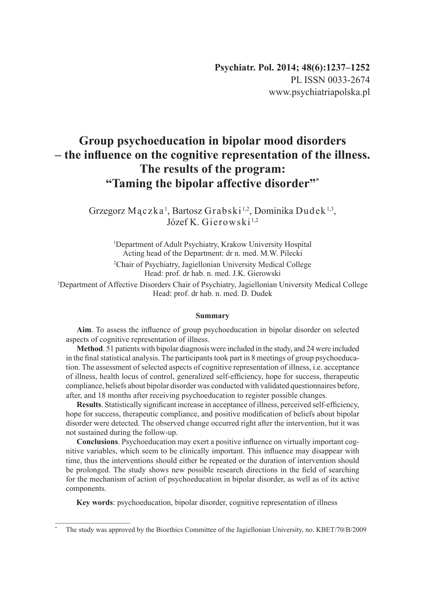# **Group psychoeducation in bipolar mood disorders – the influence on the cognitive representation of the illness. The results of the program: "Taming the bipolar affective disorder"\***

Grzegorz Mączka<sup>1</sup>, Bartosz Grabski<sup>1,2</sup>, Dominika Dudek<sup>1,3</sup>, Józef K. Gierowski<sup>1,2</sup>

1 Department of Adult Psychiatry, Krakow University Hospital Acting head of the Department: dr n. med. M.W. Pilecki 2 Chair of Psychiatry, Jagiellonian University Medical College Head: prof. dr hab. n. med. J.K. Gierowski

3 Department of Affective Disorders Chair of Psychiatry, Jagiellonian University Medical College Head: prof. dr hab. n. med. D. Dudek

#### **Summary**

**Aim**. To assess the influence of group psychoeducation in bipolar disorder on selected aspects of cognitive representation of illness.

**Method**. 51 patients with bipolar diagnosis were included in the study, and 24 were included in the final statistical analysis. The participants took part in 8 meetings of group psychoeducation. The assessment of selected aspects of cognitive representation of illness, i.e. acceptance of illness, health locus of control, generalized self-efficiency, hope for success, therapeutic compliance, beliefs about bipolar disorder was conducted with validated questionnaires before, after, and 18 months after receiving psychoeducation to register possible changes.

**Results**. Statistically significant increase in acceptance of illness, perceived self-efficiency, hope for success, therapeutic compliance, and positive modification of beliefs about bipolar disorder were detected. The observed change occurred right after the intervention, but it was not sustained during the follow-up.

**Conclusions**. Psychoeducation may exert a positive influence on virtually important cognitive variables, which seem to be clinically important. This influence may disappear with time, thus the interventions should either be repeated or the duration of intervention should be prolonged. The study shows new possible research directions in the field of searching for the mechanism of action of psychoeducation in bipolar disorder, as well as of its active components.

**Key words**: psychoeducation, bipolar disorder, cognitive representation of illness

The study was approved by the Bioethics Committee of the Jagiellonian University, no. KBET/70/B/2009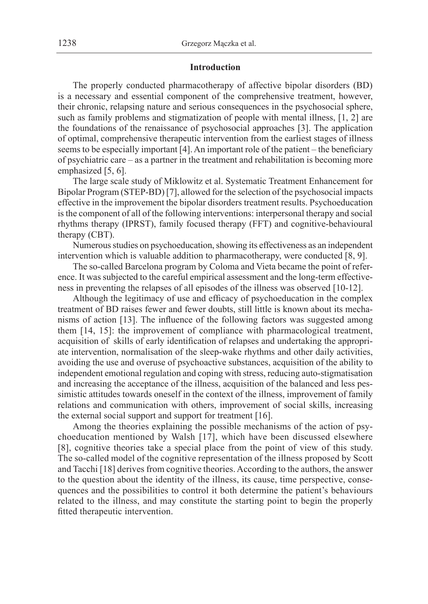#### **Introduction**

The properly conducted pharmacotherapy of affective bipolar disorders (BD) is a necessary and essential component of the comprehensive treatment, however, their chronic, relapsing nature and serious consequences in the psychosocial sphere, such as family problems and stigmatization of people with mental illness, [1, 2] are the foundations of the renaissance of psychosocial approaches [3]. The application of optimal, comprehensive therapeutic intervention from the earliest stages of illness seems to be especially important [4]. An important role of the patient – the beneficiary of psychiatric care – as a partner in the treatment and rehabilitation is becoming more emphasized [5, 6].

The large scale study of Miklowitz et al. Systematic Treatment Enhancement for Bipolar Program (STEP-BD) [7], allowed for the selection of the psychosocial impacts effective in the improvement the bipolar disorders treatment results. Psychoeducation is the component of all of the following interventions: interpersonal therapy and social rhythms therapy (IPRST), family focused therapy (FFT) and cognitive-behavioural therapy (CBT).

Numerous studies on psychoeducation, showing its effectiveness as an independent intervention which is valuable addition to pharmacotherapy, were conducted [8, 9].

The so-called Barcelona program by Coloma and Vieta became the point of reference. It was subjected to the careful empirical assessment and the long-term effectiveness in preventing the relapses of all episodes of the illness was observed [10-12].

Although the legitimacy of use and efficacy of psychoeducation in the complex treatment of BD raises fewer and fewer doubts, still little is known about its mechanisms of action [13]. The influence of the following factors was suggested among them [14, 15]: the improvement of compliance with pharmacological treatment, acquisition of skills of early identification of relapses and undertaking the appropriate intervention, normalisation of the sleep-wake rhythms and other daily activities, avoiding the use and overuse of psychoactive substances, acquisition of the ability to independent emotional regulation and coping with stress, reducing auto-stigmatisation and increasing the acceptance of the illness, acquisition of the balanced and less pessimistic attitudes towards oneself in the context of the illness, improvement of family relations and communication with others, improvement of social skills, increasing the external social support and support for treatment [16].

Among the theories explaining the possible mechanisms of the action of psychoeducation mentioned by Walsh [17], which have been discussed elsewhere [8], cognitive theories take a special place from the point of view of this study. The so-called model of the cognitive representation of the illness proposed by Scott and Tacchi [18] derives from cognitive theories. According to the authors, the answer to the question about the identity of the illness, its cause, time perspective, consequences and the possibilities to control it both determine the patient's behaviours related to the illness, and may constitute the starting point to begin the properly fitted therapeutic intervention.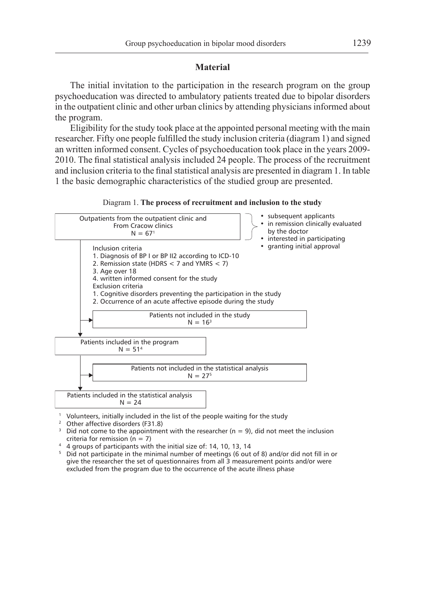## **Material**

The initial invitation to the participation in the research program on the group psychoeducation was directed to ambulatory patients treated due to bipolar disorders in the outpatient clinic and other urban clinics by attending physicians informed about the program.

Eligibility for the study took place at the appointed personal meeting with the main researcher. Fifty one people fulfilled the study inclusion criteria (diagram 1) and signed an written informed consent. Cycles of psychoeducation took place in the years 2009- 2010. The final statistical analysis included 24 people. The process of the recruitment and inclusion criteria to the final statistical analysis are presented in diagram 1. In table 1 the basic demographic characteristics of the studied group are presented.



Diagram 1. **The process of recruitment and inclusion to the study**

<sup>1</sup> Volunteers, initially included in the list of the people waiting for the study<br><sup>2</sup> Other affective disorders (E21.8)

Other affective disorders (F31.8)

Did not come to the appointment with the researcher ( $n = 9$ ), did not meet the inclusion criteria for remission ( $n = 7$ )

4 4 groups of participants with the initial size of: 14, 10, 13, 14

<sup>5</sup> Did not participate in the minimal number of meetings (6 out of 8) and/or did not fill in or give the researcher the set of questionnaires from all 3 measurement points and/or were excluded from the program due to the occurrence of the acute illness phase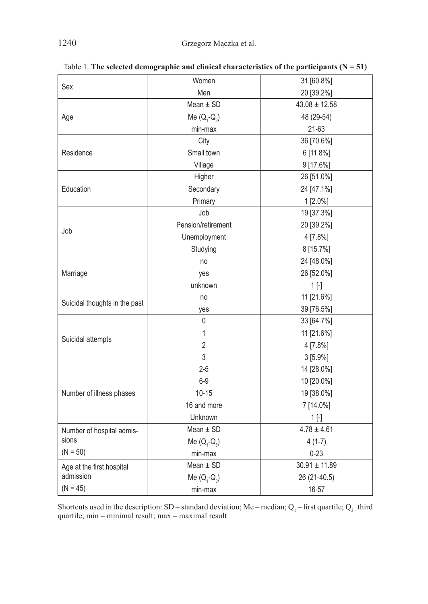|                               | Women              | 31 [60.8%]        |  |  |
|-------------------------------|--------------------|-------------------|--|--|
| Sex                           | Men                | 20 [39.2%]        |  |  |
|                               | Mean $\pm$ SD      | $43.08 \pm 12.58$ |  |  |
| Age                           | Me $(Q_1 - Q_2)$   | 48 (29-54)        |  |  |
|                               | min-max            | $21 - 63$         |  |  |
|                               | City               | 36 [70.6%]        |  |  |
| Residence                     | Small town         | 6 [11.8%]         |  |  |
|                               | Village            | 9 [17.6%]         |  |  |
|                               | Higher             | 26 [51.0%]        |  |  |
| Education                     | Secondary          | 24 [47.1%]        |  |  |
|                               | Primary            | 1 [2.0%]          |  |  |
|                               | Job                | 19 [37.3%]        |  |  |
|                               | Pension/retirement | 20 [39.2%]        |  |  |
| Job                           | Unemployment       | 4 [7.8%]          |  |  |
|                               | Studying           | 8 [15.7%]         |  |  |
|                               | no                 | 24 [48.0%]        |  |  |
| Marriage                      | yes                | 26 [52.0%]        |  |  |
|                               | unknown            | $1$ [-]           |  |  |
|                               | no                 | 11 [21.6%]        |  |  |
| Suicidal thoughts in the past | yes                | 39 [76.5%]        |  |  |
|                               | 0                  | 33 [64.7%]        |  |  |
|                               | 1                  | 11 [21.6%]        |  |  |
| Suicidal attempts             | $\overline{2}$     | 4 [7.8%]          |  |  |
|                               | 3                  | 3[5.9%]           |  |  |
|                               | $2 - 5$            | 14 [28.0%]        |  |  |
| Number of illness phases      | $6-9$              | 10 [20.0%]        |  |  |
|                               | $10 - 15$          | 19 [38.0%]        |  |  |
|                               | 16 and more        | 7 [14.0%]         |  |  |
|                               | Unknown            | $1$ [-]           |  |  |
| Number of hospital admis-     | Mean $\pm$ SD      | $4.78 \pm 4.61$   |  |  |
| sions                         | Me $(Q_1 - Q_3)$   | $4(1-7)$          |  |  |
| $(N = 50)$                    | min-max            | $0 - 23$          |  |  |
| Age at the first hospital     | Mean $\pm$ SD      | $30.91 \pm 11.89$ |  |  |
| admission                     | Me $(Q_1 - Q_2)$   | 26 (21-40.5)      |  |  |
| $(N = 45)$                    | min-max            | 16-57             |  |  |

| Table 1. The selected demographic and clinical characteristics of the participants ( $N = 51$ ) |  |  |  |  |
|-------------------------------------------------------------------------------------------------|--|--|--|--|
|-------------------------------------------------------------------------------------------------|--|--|--|--|

Shortcuts used in the description: SD – standard deviation; Me – median;  $Q_1$  – first quartile;  $Q_3$ <sub>–</sub> third quartile; min – minimal result; max – maximal result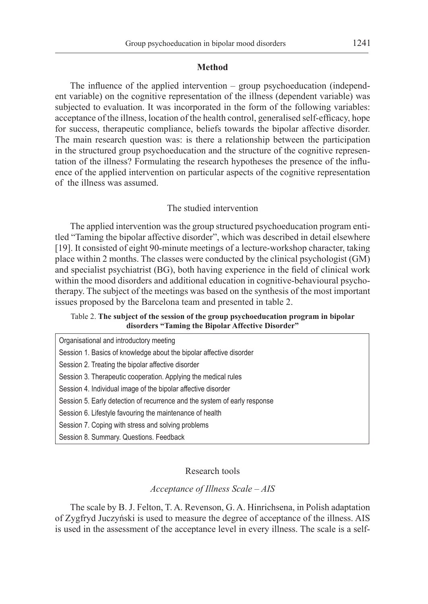## **Method**

The influence of the applied intervention – group psychoeducation (independent variable) on the cognitive representation of the illness (dependent variable) was subjected to evaluation. It was incorporated in the form of the following variables: acceptance of the illness, location of the health control, generalised self-efficacy, hope for success, therapeutic compliance, beliefs towards the bipolar affective disorder. The main research question was: is there a relationship between the participation in the structured group psychoeducation and the structure of the cognitive representation of the illness? Formulating the research hypotheses the presence of the influence of the applied intervention on particular aspects of the cognitive representation of the illness was assumed.

## The studied intervention

The applied intervention was the group structured psychoeducation program entitled "Taming the bipolar affective disorder", which was described in detail elsewhere [19]. It consisted of eight 90-minute meetings of a lecture-workshop character, taking place within 2 months. The classes were conducted by the clinical psychologist (GM) and specialist psychiatrist (BG), both having experience in the field of clinical work within the mood disorders and additional education in cognitive-behavioural psychotherapy. The subject of the meetings was based on the synthesis of the most important issues proposed by the Barcelona team and presented in table 2.

Table 2. **The subject of the session of the group psychoeducation program in bipolar disorders "Taming the Bipolar Affective Disorder"**

| Organisational and introductory meeting                                   |
|---------------------------------------------------------------------------|
| Session 1. Basics of knowledge about the bipolar affective disorder       |
| Session 2. Treating the bipolar affective disorder                        |
| Session 3. Therapeutic cooperation. Applying the medical rules            |
| Session 4. Individual image of the bipolar affective disorder             |
| Session 5. Early detection of recurrence and the system of early response |
| Session 6. Lifestyle favouring the maintenance of health                  |
| Session 7. Coping with stress and solving problems                        |
| Session 8. Summary. Questions. Feedback                                   |

## Research tools

## *Acceptance of Illness Scale – AIS*

The scale by B. J. Felton, T. A. Revenson, G. A. Hinrichsena, in Polish adaptation of Zygfryd Juczyński is used to measure the degree of acceptance of the illness. AIS is used in the assessment of the acceptance level in every illness. The scale is a self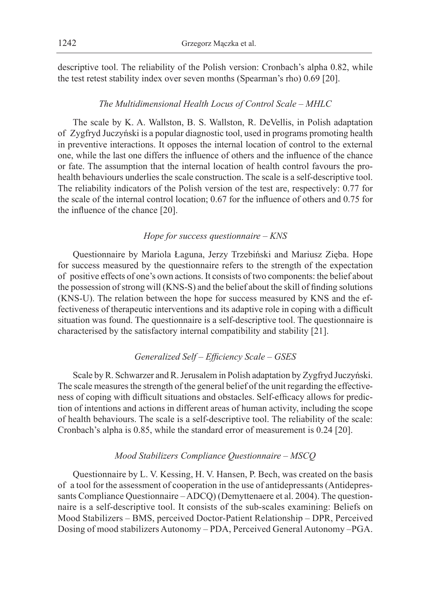descriptive tool. The reliability of the Polish version: Cronbach's alpha 0.82, while the test retest stability index over seven months (Spearman's rho) 0.69 [20].

# *The Multidimensional Health Locus of Control Scale – MHLC*

The scale by K. A. Wallston, B. S. Wallston, R. DeVellis, in Polish adaptation of Zygfryd Juczyński is a popular diagnostic tool, used in programs promoting health in preventive interactions. It opposes the internal location of control to the external one, while the last one differs the influence of others and the influence of the chance or fate. The assumption that the internal location of health control favours the prohealth behaviours underlies the scale construction. The scale is a self-descriptive tool. The reliability indicators of the Polish version of the test are, respectively: 0.77 for the scale of the internal control location; 0.67 for the influence of others and 0.75 for the influence of the chance [20].

# *Hope for success questionnaire – KNS*

Questionnaire by Mariola Łaguna, Jerzy Trzebiński and Mariusz Zięba. Hope for success measured by the questionnaire refers to the strength of the expectation of positive effects of one's own actions. It consists of two components: the belief about the possession of strong will (KNS-S) and the belief about the skill of finding solutions (KNS-U). The relation between the hope for success measured by KNS and the effectiveness of therapeutic interventions and its adaptive role in coping with a difficult situation was found. The questionnaire is a self-descriptive tool. The questionnaire is characterised by the satisfactory internal compatibility and stability [21].

# *Generalized Self – Efficiency Scale – GSES*

Scale by R. Schwarzer and R. Jerusalem in Polish adaptation by Zygfryd Juczyński. The scale measures the strength of the general belief of the unit regarding the effectiveness of coping with difficult situations and obstacles. Self-efficacy allows for prediction of intentions and actions in different areas of human activity, including the scope of health behaviours. The scale is a self-descriptive tool. The reliability of the scale: Cronbach's alpha is 0.85, while the standard error of measurement is 0.24 [20].

## *Mood Stabilizers Compliance Questionnaire – MSCQ*

Questionnaire by L. V. Kessing, H. V. Hansen, P. Bech, was created on the basis of a tool for the assessment of cooperation in the use of antidepressants (Antidepressants Compliance Questionnaire – ADCQ) (Demyttenaere et al. 2004). The questionnaire is a self-descriptive tool. It consists of the sub-scales examining: Beliefs on Mood Stabilizers – BMS, perceived Doctor-Patient Relationship – DPR, Perceived Dosing of mood stabilizers Autonomy – PDA, Perceived General Autonomy –PGA.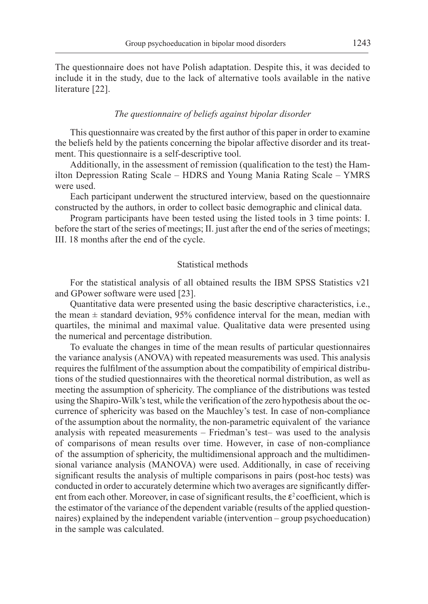The questionnaire does not have Polish adaptation. Despite this, it was decided to include it in the study, due to the lack of alternative tools available in the native literature [22].

## *The questionnaire of beliefs against bipolar disorder*

This questionnaire was created by the first author of this paper in order to examine the beliefs held by the patients concerning the bipolar affective disorder and its treatment. This questionnaire is a self-descriptive tool.

Additionally, in the assessment of remission (qualification to the test) the Hamilton Depression Rating Scale – HDRS and Young Mania Rating Scale – YMRS were used.

Each participant underwent the structured interview, based on the questionnaire constructed by the authors, in order to collect basic demographic and clinical data.

Program participants have been tested using the listed tools in 3 time points: I. before the start of the series of meetings; II. just after the end of the series of meetings; III. 18 months after the end of the cycle.

## Statistical methods

For the statistical analysis of all obtained results the IBM SPSS Statistics v21 and GPower software were used [23].

Quantitative data were presented using the basic descriptive characteristics, i.e., the mean  $\pm$  standard deviation, 95% confidence interval for the mean, median with quartiles, the minimal and maximal value. Qualitative data were presented using the numerical and percentage distribution.

To evaluate the changes in time of the mean results of particular questionnaires the variance analysis (ANOVA) with repeated measurements was used. This analysis requires the fulfilment of the assumption about the compatibility of empirical distributions of the studied questionnaires with the theoretical normal distribution, as well as meeting the assumption of sphericity. The compliance of the distributions was tested using the Shapiro-Wilk's test, while the verification of the zero hypothesis about the occurrence of sphericity was based on the Mauchley's test. In case of non-compliance of the assumption about the normality, the non-parametric equivalent of the variance analysis with repeated measurements – Friedman's test– was used to the analysis of comparisons of mean results over time. However, in case of non-compliance of the assumption of sphericity, the multidimensional approach and the multidimensional variance analysis (MANOVA) were used. Additionally, in case of receiving significant results the analysis of multiple comparisons in pairs (post-hoc tests) was conducted in order to accurately determine which two averages are significantly different from each other. Moreover, in case of significant results, the  $\varepsilon^2$  coefficient, which is the estimator of the variance of the dependent variable (results of the applied questionnaires) explained by the independent variable (intervention – group psychoeducation) in the sample was calculated.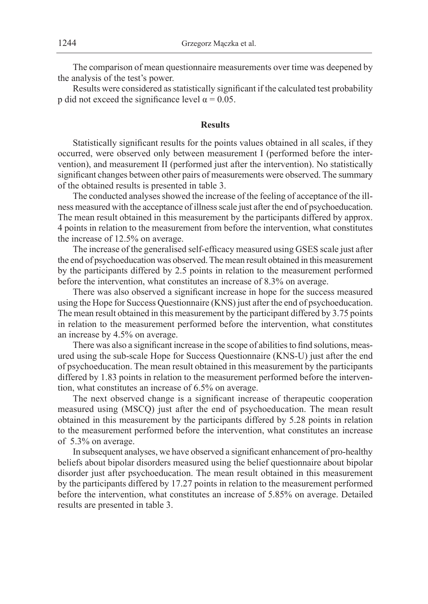The comparison of mean questionnaire measurements over time was deepened by the analysis of the test's power.

Results were considered as statistically significant if the calculated test probability p did not exceed the significance level  $\alpha = 0.05$ .

## **Results**

Statistically significant results for the points values obtained in all scales, if they occurred, were observed only between measurement I (performed before the intervention), and measurement II (performed just after the intervention). No statistically significant changes between other pairs of measurements were observed. The summary of the obtained results is presented in table 3.

The conducted analyses showed the increase of the feeling of acceptance of the illness measured with the acceptance of illness scale just after the end of psychoeducation. The mean result obtained in this measurement by the participants differed by approx. 4 points in relation to the measurement from before the intervention, what constitutes the increase of 12.5% on average.

The increase of the generalised self-efficacy measured using GSES scale just after the end of psychoeducation was observed. The mean result obtained in this measurement by the participants differed by 2.5 points in relation to the measurement performed before the intervention, what constitutes an increase of 8.3% on average.

There was also observed a significant increase in hope for the success measured using the Hope for Success Questionnaire (KNS) just after the end of psychoeducation. The mean result obtained in this measurement by the participant differed by 3.75 points in relation to the measurement performed before the intervention, what constitutes an increase by 4.5% on average.

There was also a significant increase in the scope of abilities to find solutions, measured using the sub-scale Hope for Success Questionnaire (KNS-U) just after the end of psychoeducation. The mean result obtained in this measurement by the participants differed by 1.83 points in relation to the measurement performed before the intervention, what constitutes an increase of 6.5% on average.

The next observed change is a significant increase of therapeutic cooperation measured using (MSCQ) just after the end of psychoeducation. The mean result obtained in this measurement by the participants differed by 5.28 points in relation to the measurement performed before the intervention, what constitutes an increase of 5.3% on average.

In subsequent analyses, we have observed a significant enhancement of pro-healthy beliefs about bipolar disorders measured using the belief questionnaire about bipolar disorder just after psychoeducation. The mean result obtained in this measurement by the participants differed by 17.27 points in relation to the measurement performed before the intervention, what constitutes an increase of 5.85% on average. Detailed results are presented in table 3.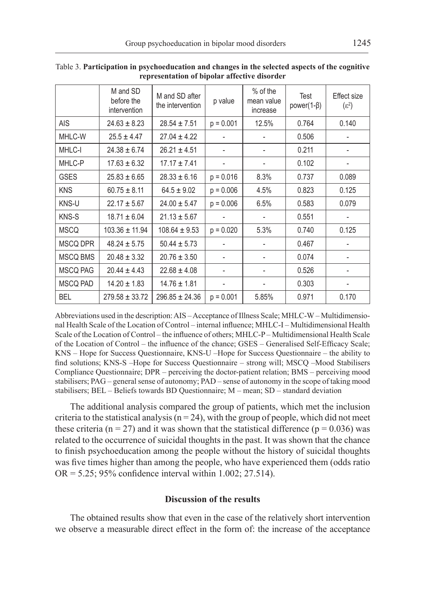|                 | M and SD<br>before the<br>intervention | M and SD after<br>the intervention | p value     | $%$ of the<br>mean value<br>increase | Test<br>power $(1-\beta)$ | Effect size<br>$(\epsilon^2)$ |
|-----------------|----------------------------------------|------------------------------------|-------------|--------------------------------------|---------------------------|-------------------------------|
| <b>AIS</b>      | $24.63 \pm 8.23$                       | $28.54 \pm 7.51$                   | $p = 0.001$ | 12.5%                                | 0.764                     | 0.140                         |
| MHLC-W          | $25.5 \pm 4.47$                        | $27.04 \pm 4.22$                   |             |                                      | 0.506                     |                               |
| MHLC-I          | $24.38 \pm 6.74$                       | $26.21 \pm 4.51$                   |             |                                      | 0.211                     |                               |
| MHLC-P          | $17.63 \pm 6.32$                       | $17.17 \pm 7.41$                   |             |                                      | 0.102                     |                               |
| <b>GSES</b>     | $25.83 \pm 6.65$                       | $28.33 \pm 6.16$                   | $p = 0.016$ | 8.3%                                 | 0.737                     | 0.089                         |
| <b>KNS</b>      | $60.75 \pm 8.11$                       | $64.5 \pm 9.02$                    | $p = 0.006$ | 4.5%                                 | 0.823                     | 0.125                         |
| <b>KNS-U</b>    | $22.17 \pm 5.67$                       | $24.00 \pm 5.47$                   | $p = 0.006$ | 6.5%                                 | 0.583                     | 0.079                         |
| <b>KNS-S</b>    | $18.71 \pm 6.04$                       | $21.13 \pm 5.67$                   |             |                                      | 0.551                     |                               |
| <b>MSCQ</b>     | $103.36 \pm 11.94$                     | $108.64 \pm 9.53$                  | $p = 0.020$ | 5.3%                                 | 0.740                     | 0.125                         |
| MSCQ DPR        | $48.24 \pm 5.75$                       | $50.44 \pm 5.73$                   |             |                                      | 0.467                     |                               |
| MSCQ BMS        | $20.48 \pm 3.32$                       | $20.76 \pm 3.50$                   |             |                                      | 0.074                     |                               |
| MSCQ PAG        | $20.44 \pm 4.43$                       | $22.68 \pm 4.08$                   |             |                                      | 0.526                     |                               |
| <b>MSCQ PAD</b> | $14.20 \pm 1.83$                       | $14.76 \pm 1.81$                   |             |                                      | 0.303                     |                               |
| <b>BEL</b>      | $279.58 \pm 33.72$                     | $296.85 \pm 24.36$                 | $p = 0.001$ | 5.85%                                | 0.971                     | 0.170                         |

Table 3. **Participation in psychoeducation and changes in the selected aspects of the cognitive representation of bipolar affective disorder**

Abbreviations used in the description: AIS – Acceptance of Illness Scale; MHLC-W – Multidimensional Health Scale of the Location of Control – internal influence; MHLC-I – Multidimensional Health Scale of the Location of Control – the influence of others; MHLC-P – Multidimensional Health Scale of the Location of Control – the influence of the chance; GSES – Generalised Self-Efficacy Scale; KNS – Hope for Success Questionnaire, KNS-U –Hope for Success Questionnaire – the ability to find solutions; KNS-S –Hope for Success Questionnaire – strong will; MSCQ –Mood Stabilisers Compliance Questionnaire; DPR – perceiving the doctor-patient relation; BMS – perceiving mood stabilisers; PAG – general sense of autonomy; PAD – sense of autonomy in the scope of taking mood stabilisers; BEL – Beliefs towards BD Questionnaire; M – mean; SD – standard deviation

The additional analysis compared the group of patients, which met the inclusion criteria to the statistical analysis ( $n = 24$ ), with the group of people, which did not meet these criteria ( $n = 27$ ) and it was shown that the statistical difference ( $p = 0.036$ ) was related to the occurrence of suicidal thoughts in the past. It was shown that the chance to finish psychoeducation among the people without the history of suicidal thoughts was five times higher than among the people, who have experienced them (odds ratio OR = 5.25; 95% confidence interval within 1.002; 27.514).

## **Discussion of the results**

The obtained results show that even in the case of the relatively short intervention we observe a measurable direct effect in the form of: the increase of the acceptance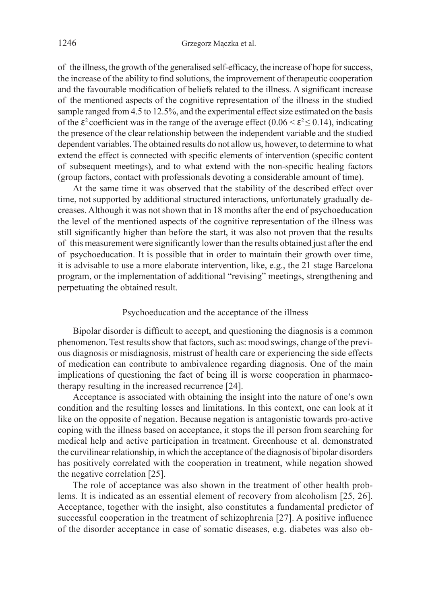of the illness, the growth of the generalised self-efficacy, the increase of hope for success, the increase of the ability to find solutions, the improvement of therapeutic cooperation and the favourable modification of beliefs related to the illness. A significant increase of the mentioned aspects of the cognitive representation of the illness in the studied sample ranged from 4.5 to 12.5%, and the experimental effect size estimated on the basis of the  $\epsilon^2$  coefficient was in the range of the average effect (0.06 <  $\epsilon^2 \le 0.14$ ), indicating the presence of the clear relationship between the independent variable and the studied dependent variables. The obtained results do not allow us, however, to determine to what extend the effect is connected with specific elements of intervention (specific content of subsequent meetings), and to what extend with the non-specific healing factors (group factors, contact with professionals devoting a considerable amount of time).

At the same time it was observed that the stability of the described effect over time, not supported by additional structured interactions, unfortunately gradually decreases. Although it was not shown that in 18 months after the end of psychoeducation the level of the mentioned aspects of the cognitive representation of the illness was still significantly higher than before the start, it was also not proven that the results of this measurement were significantly lower than the results obtained just after the end of psychoeducation. It is possible that in order to maintain their growth over time, it is advisable to use a more elaborate intervention, like, e.g., the 21 stage Barcelona program, or the implementation of additional "revising" meetings, strengthening and perpetuating the obtained result.

## Psychoeducation and the acceptance of the illness

Bipolar disorder is difficult to accept, and questioning the diagnosis is a common phenomenon. Test results show that factors, such as: mood swings, change of the previous diagnosis or misdiagnosis, mistrust of health care or experiencing the side effects of medication can contribute to ambivalence regarding diagnosis. One of the main implications of questioning the fact of being ill is worse cooperation in pharmacotherapy resulting in the increased recurrence [24].

Acceptance is associated with obtaining the insight into the nature of one's own condition and the resulting losses and limitations. In this context, one can look at it like on the opposite of negation. Because negation is antagonistic towards pro-active coping with the illness based on acceptance, it stops the ill person from searching for medical help and active participation in treatment. Greenhouse et al. demonstrated the curvilinear relationship, in which the acceptance of the diagnosis of bipolar disorders has positively correlated with the cooperation in treatment, while negation showed the negative correlation [25].

The role of acceptance was also shown in the treatment of other health problems. It is indicated as an essential element of recovery from alcoholism [25, 26]. Acceptance, together with the insight, also constitutes a fundamental predictor of successful cooperation in the treatment of schizophrenia [27]. A positive influence of the disorder acceptance in case of somatic diseases, e.g. diabetes was also ob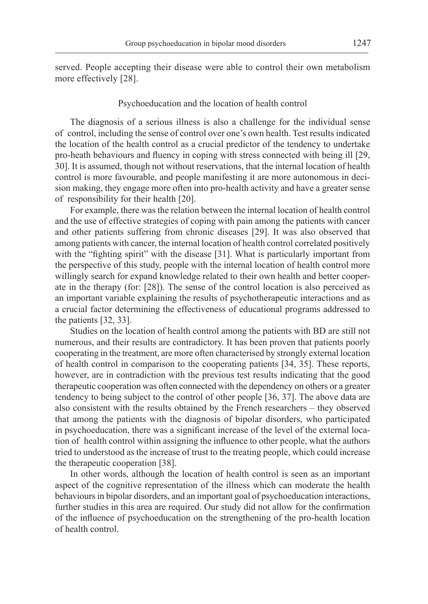served. People accepting their disease were able to control their own metabolism more effectively [28].

## Psychoeducation and the location of health control

The diagnosis of a serious illness is also a challenge for the individual sense of control, including the sense of control over one's own health. Test results indicated the location of the health control as a crucial predictor of the tendency to undertake pro-heath behaviours and fluency in coping with stress connected with being ill [29, 30]. It is assumed, though not without reservations, that the internal location of health control is more favourable, and people manifesting it are more autonomous in decision making, they engage more often into pro-health activity and have a greater sense of responsibility for their health [20].

For example, there was the relation between the internal location of health control and the use of effective strategies of coping with pain among the patients with cancer and other patients suffering from chronic diseases [29]. It was also observed that among patients with cancer, the internal location of health control correlated positively with the "fighting spirit" with the disease [31]. What is particularly important from the perspective of this study, people with the internal location of health control more willingly search for expand knowledge related to their own health and better cooperate in the therapy (for: [28]). The sense of the control location is also perceived as an important variable explaining the results of psychotherapeutic interactions and as a crucial factor determining the effectiveness of educational programs addressed to the patients [32, 33].

Studies on the location of health control among the patients with BD are still not numerous, and their results are contradictory. It has been proven that patients poorly cooperating in the treatment, are more often characterised by strongly external location of health control in comparison to the cooperating patients [34, 35]. These reports, however, are in contradiction with the previous test results indicating that the good therapeutic cooperation was often connected with the dependency on others or a greater tendency to being subject to the control of other people [36, 37]. The above data are also consistent with the results obtained by the French researchers – they observed that among the patients with the diagnosis of bipolar disorders, who participated in psychoeducation, there was a significant increase of the level of the external location of health control within assigning the influence to other people, what the authors tried to understood as the increase of trust to the treating people, which could increase the therapeutic cooperation [38].

In other words, although the location of health control is seen as an important aspect of the cognitive representation of the illness which can moderate the health behaviours in bipolar disorders, and an important goal of psychoeducation interactions, further studies in this area are required. Our study did not allow for the confirmation of the influence of psychoeducation on the strengthening of the pro-health location of health control.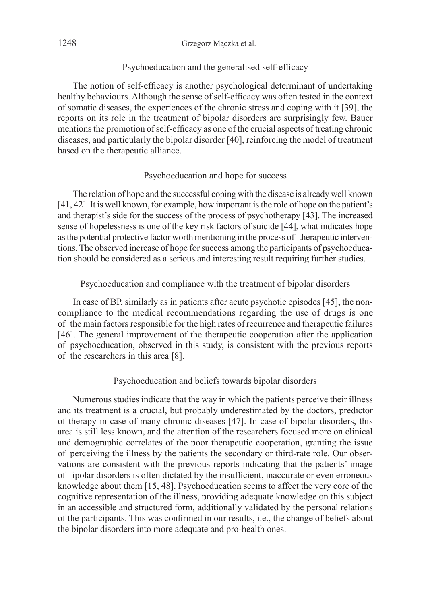# Psychoeducation and the generalised self-efficacy

The notion of self-efficacy is another psychological determinant of undertaking healthy behaviours. Although the sense of self-efficacy was often tested in the context of somatic diseases, the experiences of the chronic stress and coping with it [39], the reports on its role in the treatment of bipolar disorders are surprisingly few. Bauer mentions the promotion of self-efficacy as one of the crucial aspects of treating chronic diseases, and particularly the bipolar disorder [40], reinforcing the model of treatment based on the therapeutic alliance.

# Psychoeducation and hope for success

The relation of hope and the successful coping with the disease is already well known [41, 42]. It is well known, for example, how important is the role of hope on the patient's and therapist's side for the success of the process of psychotherapy [43]. The increased sense of hopelessness is one of the key risk factors of suicide [44], what indicates hope as the potential protective factor worth mentioning in the process of therapeutic interventions. The observed increase of hope for success among the participants of psychoeducation should be considered as a serious and interesting result requiring further studies.

# Psychoeducation and compliance with the treatment of bipolar disorders

In case of BP, similarly as in patients after acute psychotic episodes [45], the noncompliance to the medical recommendations regarding the use of drugs is one of the main factors responsible for the high rates of recurrence and therapeutic failures [46]. The general improvement of the therapeutic cooperation after the application of psychoeducation, observed in this study, is consistent with the previous reports of the researchers in this area [8].

# Psychoeducation and beliefs towards bipolar disorders

Numerous studies indicate that the way in which the patients perceive their illness and its treatment is a crucial, but probably underestimated by the doctors, predictor of therapy in case of many chronic diseases [47]. In case of bipolar disorders, this area is still less known, and the attention of the researchers focused more on clinical and demographic correlates of the poor therapeutic cooperation, granting the issue of perceiving the illness by the patients the secondary or third-rate role. Our observations are consistent with the previous reports indicating that the patients' image of ipolar disorders is often dictated by the insufficient, inaccurate or even erroneous knowledge about them [15, 48]. Psychoeducation seems to affect the very core of the cognitive representation of the illness, providing adequate knowledge on this subject in an accessible and structured form, additionally validated by the personal relations of the participants. This was confirmed in our results, i.e., the change of beliefs about the bipolar disorders into more adequate and pro-health ones.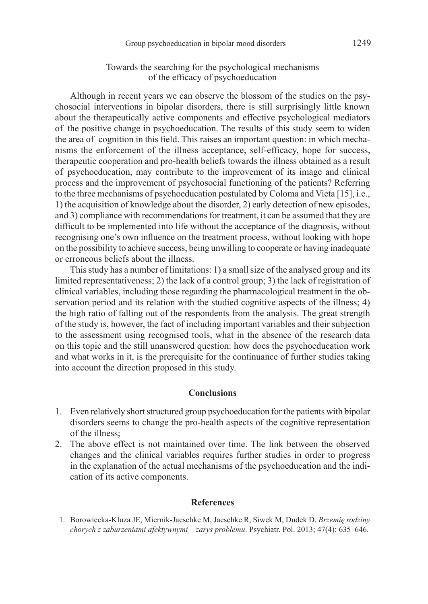## Towards the searching for the psychological mechanisms of the efficacy of psychoeducation

Although in recent years we can observe the blossom of the studies on the psychosocial interventions in bipolar disorders, there is still surprisingly little known about the therapeutically active components and effective psychological mediators of the positive change in psychoeducation. The results of this study seem to widen the area of cognition in this field. This raises an important question: in which mechanisms the enforcement of the illness acceptance, self-efficacy, hope for success, therapeutic cooperation and pro-health beliefs towards the illness obtained as a result of psychoeducation, may contribute to the improvement of its image and clinical process and the improvement of psychosocial functioning of the patients? Referring to the three mechanisms of psychoeducation postulated by Coloma and Vieta [15], i.e., 1) the acquisition of knowledge about the disorder, 2) early detection of new episodes, and 3) compliance with recommendations for treatment, it can be assumed that they are difficult to be implemented into life without the acceptance of the diagnosis, without recognising one's own influence on the treatment process, without looking with hope on the possibility to achieve success, being unwilling to cooperate or having inadequate or erroneous beliefs about the illness.

This study has a number of limitations: 1) a small size of the analysed group and its limited representativeness; 2) the lack of a control group; 3) the lack of registration of clinical variables, including those regarding the pharmacological treatment in the observation period and its relation with the studied cognitive aspects of the illness; 4) the high ratio of falling out of the respondents from the analysis. The great strength of the study is, however, the fact of including important variables and their subjection to the assessment using recognised tools, what in the absence of the research data on this topic and the still unanswered question: how does the psychoeducation work and what works in it, is the prerequisite for the continuance of further studies taking into account the direction proposed in this study.

### **Conclusions**

- 1. Even relatively short structured group psychoeducation for the patients with bipolar disorders seems to change the pro-health aspects of the cognitive representation of the illness;
- 2. The above effect is not maintained over time. The link between the observed changes and the clinical variables requires further studies in order to progress in the explanation of the actual mechanisms of the psychoeducation and the indication of its active components.

## **References**

1. Borowiecka-Kluza JE, Miernik-Jaeschke M, Jaeschke R, Siwek M, Dudek D. *Brzemię rodziny chorych z zaburzeniami afektywnymi – zarys problemu*. Psychiatr. Pol. 2013; 47(4): 635–646.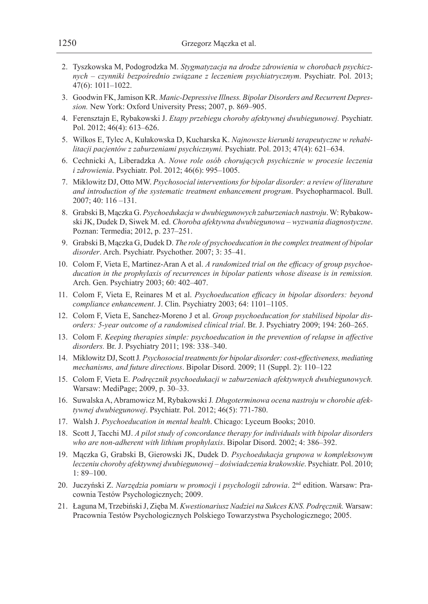- 2. Tyszkowska M, Podogrodzka M. *Stygmatyzacja na drodze zdrowienia w chorobach psychicznych – czynniki bezpośrednio związane z leczeniem psychiatrycznym*. Psychiatr. Pol. 2013; 47(6): 1011–1022.
- 3. Goodwin FK, Jamison KR. *Manic-Depressive Illness. Bipolar Disorders and Recurrent Depression.* New York: Oxford University Press; 2007, p. 869–905.
- 4. Ferensztajn E, Rybakowski J. *Etapy przebiegu choroby afektywnej dwubiegunowej.* Psychiatr. Pol. 2012; 46(4): 613–626.
- 5. Wilkos E, Tylec A, Kułakowska D, Kucharska K. *Najnowsze kierunki terapeutyczne w rehabilitacji pacjentów z zaburzeniami psychicznymi.* Psychiatr. Pol. 2013; 47(4): 621–634.
- 6. Cechnicki A, Liberadzka A. *Nowe role osób chorujących psychicznie w procesie leczenia i zdrowienia*. Psychiatr. Pol. 2012; 46(6): 995–1005.
- 7. Miklowitz DJ, Otto MW. *Psychosocial interventions for bipolar disorder: a review of literature and introduction of the systematic treatment enhancement program*. Psychopharmacol. Bull. 2007; 40: 116 –131.
- 8. Grabski B, Mączka G. *Psychoedukacja w dwubiegunowych zaburzeniach nastroju*. W: Rybakowski JK, Dudek D, Siwek M. ed. *Choroba afektywna dwubiegunowa – wyzwania diagnostyczne*. Poznan: Termedia; 2012, p. 237–251.
- 9. Grabski B, Mączka G, Dudek D. *The role of psychoeducation in the complex treatment of bipolar disorder*. Arch. Psychiatr. Psychother. 2007; 3: 35–41.
- 10. Colom F, Vieta E, Martinez-Aran A et al. *A randomized trial on the efficacy of group psychoeducation in the prophylaxis of recurrences in bipolar patients whose disease is in remission.*  Arch. Gen. Psychiatry 2003; 60: 402–407.
- 11. Colom F, Vieta E, Reinares M et al. *Psychoeducation efficacy in bipolar disorders: beyond compliance enhancement*. J. Clin. Psychiatry 2003; 64: 1101–1105.
- 12. Colom F, Vieta E, Sanchez-Moreno J et al. *Group psychoeducation for stabilised bipolar disorders: 5-year outcome of a randomised clinical trial*. Br. J. Psychiatry 2009; 194: 260–265.
- 13. Colom F. *Keeping therapies simple: psychoeducation in the prevention of relapse in affective disorders.* Br. J. Psychiatry 2011; 198: 338–340.
- 14. Miklowitz DJ, Scott J*. Psychosocial treatments for bipolar disorder: cost-effectiveness, mediating mechanisms, and future directions*. Bipolar Disord. 2009; 11 (Suppl. 2): 110–122
- 15. Colom F, Vieta E. *Podręcznik psychoedukacji w zaburzeniach afektywnych dwubiegunowych.*  Warsaw: MediPage; 2009, p. 30–33.
- 16. Suwalska A, Abramowicz M, Rybakowski J*. Długoterminowa ocena nastroju w chorobie afektywnej dwubiegunowej*. Psychiatr. Pol. 2012; 46(5): 771-780.
- 17. Walsh J. *Psychoeducation in mental health*. Chicago: Lyceum Books; 2010.
- 18. Scott J, Tacchi MJ. *A pilot study of concordance therapy for individuals with bipolar disorders who are non-adherent with lithium prophylaxis*. Bipolar Disord. 2002; 4: 386–392.
- 19. Mączka G, Grabski B, Gierowski JK, Dudek D. *Psychoedukacja grupowa w kompleksowym leczeniu choroby afektywnej dwubiegunowej – doświadczenia krakowskie*. Psychiatr. Pol. 2010; 1: 89–100.
- 20. Juczyński Z. *Narzędzia pomiaru w promocji i psychologii zdrowia*. 2nd edition. Warsaw: Pracownia Testów Psychologicznych; 2009.
- 21. Łaguna M, Trzebiński J, Zięba M. *Kwestionariusz Nadziei na Sukces KNS. Podręcznik.* Warsaw: Pracownia Testów Psychologicznych Polskiego Towarzystwa Psychologicznego; 2005.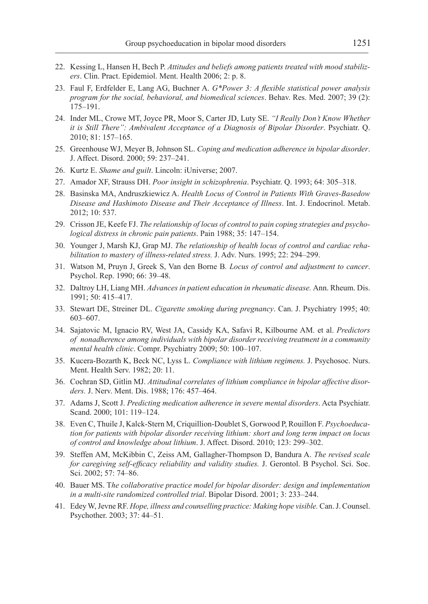- 22. Kessing L, Hansen H, Bech P. *Attitudes and beliefs among patients treated with mood stabilizers*. Clin. Pract. Epidemiol. Ment. Health 2006; 2: p. 8.
- 23. Faul F, Erdfelder E, Lang AG, Buchner A. *G\*Power 3: A flexible statistical power analysis program for the social, behavioral, and biomedical sciences*. Behav. Res. Med. 2007; 39 (2): 175–191.
- 24. Inder ML, Crowe MT, Joyce PR, Moor S, Carter JD, Luty SE. *"I Really Don't Know Whether it is Still There": Ambivalent Acceptance of a Diagnosis of Bipolar Disorder*. Psychiatr. Q. 2010; 81: 157–165.
- 25. Greenhouse WJ, Meyer B, Johnson SL. *Coping and medication adherence in bipolar disorder*. J. Affect. Disord. 2000; 59: 237–241.
- 26. Kurtz E. *Shame and guilt*. Lincoln: iUniverse; 2007.
- 27. Amador XF, Strauss DH. *Poor insight in schizophrenia*. Psychiatr. Q. 1993; 64: 305–318.
- 28. Basinska MA, Andruszkiewicz A. *Health Locus of Control in Patients With Graves-Basedow Disease and Hashimoto Disease and Their Acceptance of Illness*. Int. J. Endocrinol. Metab. 2012; 10: 537.
- 29. Crisson JE, Keefe FJ. *The relationship of locus of control to pain coping strategies and psychological distress in chronic pain patients*. Pain 1988; 35: 147–154.
- 30. Younger J, Marsh KJ, Grap MJ. *The relationship of health locus of control and cardiac rehabilitation to mastery of illness*-*related stress.* J. Adv. Nurs. 1995; 22: 294–299.
- 31. Watson M, Pruyn J, Greek S, Van den Borne B*. Locus of control and adjustment to cancer*. Psychol. Rep. 1990; 66: 39–48.
- 32. Daltroy LH, Liang MH. *Advances in patient education in rheumatic disease.* Ann. Rheum. Dis. 1991; 50: 415–417.
- 33. Stewart DE, Streiner DL. *Cigarette smoking during pregnancy*. Can. J. Psychiatry 1995; 40: 603–607.
- 34. Sajatovic M, Ignacio RV, West JA, Cassidy KA, Safavi R, Kilbourne AM. et al. *Predictors of nonadherence among individuals with bipolar disorder receiving treatment in a community mental health clinic*. Compr. Psychiatry 2009; 50: 100–107.
- 35. Kucera-Bozarth K, Beck NC, Lyss L. *Compliance with lithium regimens.* J. Psychosoc. Nurs. Ment. Health Serv. 1982; 20: 11.
- 36. Cochran SD, Gitlin MJ. *Attitudinal correlates of lithium compliance in bipolar affective disorders.* J. Nerv. Ment. Dis. 1988; 176: 457–464.
- 37. Adams J, Scott J. *Predicting medication adherence in severe mental disorders*. Acta Psychiatr. Scand. 2000; 101: 119–124.
- 38. Even C, Thuile J, Kalck-Stern M, Criquillion-Doublet S, Gorwood P, Rouillon F. *Psychoeducation for patients with bipolar disorder receiving lithium: short and long term impact on locus of control and knowledge about lithium*. J. Affect. Disord. 2010; 123: 299–302.
- 39. Steffen AM, McKibbin C, Zeiss AM, Gallagher-Thompson D, Bandura A. *The revised scale for caregiving self-efficacy reliability and validity studies.* J. Gerontol. B Psychol. Sci. Soc. Sci. 2002; 57: 74–86.
- 40. Bauer MS. T*he collaborative practice model for bipolar disorder: design and implementation in a multi*-*site randomized controlled trial*. Bipolar Disord. 2001; 3: 233–244.
- 41. Edey W, Jevne RF. *Hope, illness and counselling practice: Making hope visible.* Can. J. Counsel. Psychother. 2003; 37: 44–51.